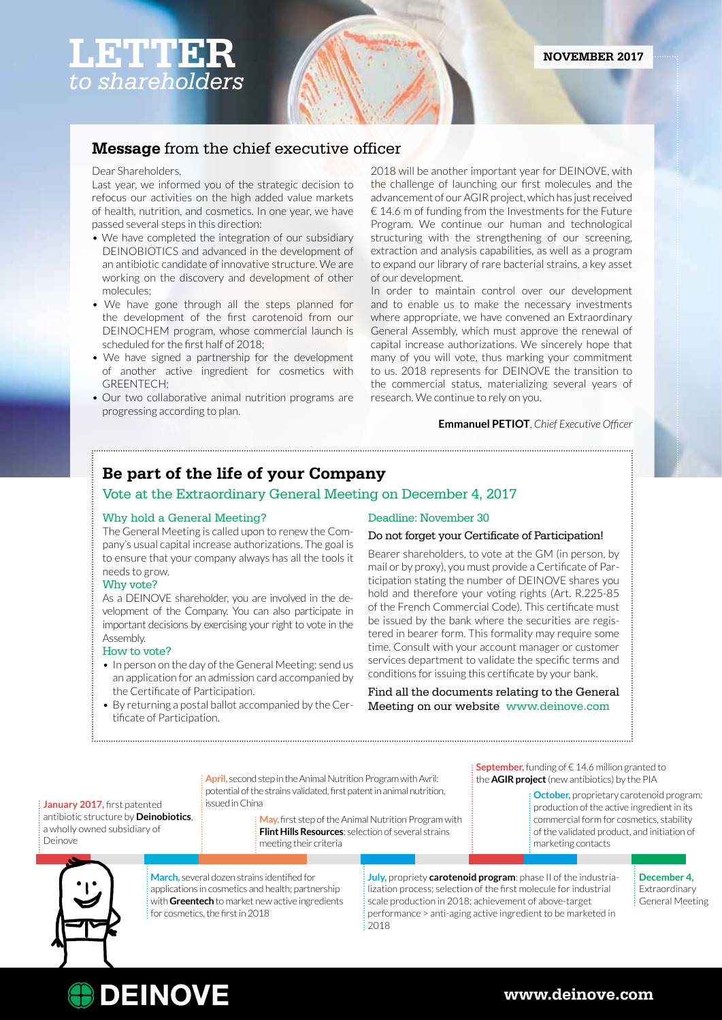# **LETTER** *to shareholders*

# **Message** from the chief executive officer

# Dear Shareholders,

Last year, we informed you of the strategic decision to refocus our activities on the high added value markets of health, nutrition, and cosmetics. In one year, we have passed several steps in this direction:

- We have completed the integration of our subsidiary DEINOBIOTICS and advanced in the development of an antibiotic candidate of innovative structure. We are working on the discovery and development of other molecules;
- We have gone through all the steps planned for the development of the first carotenoid from our DEINOCHEM program, whose commercial launch is scheduled for the first half of 2018;
- We have signed a partnership for the development of another active ingredient for cosmetics with GREENTECH;
- Our two collaborative animal nutrition programs are progressing according to plan.

2018 will be another important year for DEINOVE, with the challenge of launching our first molecules and the advancement of our AGIR project, which has just received  $\epsilon$  14.6 m of funding from the Investments for the Future Program. We continue our human and technological structuring with the strengthening of our screening, extraction and analysis capabilities, as well as a program to expand our library of rare bacterial strains, a key asset of our development.

In order to maintain control over our development and to enable us to make the necessary investments where appropriate, we have convened an Extraordinary General Assembly, which must approve the renewal of capital increase authorizations. We sincerely hope that many of you will vote, thus marking your commitment to us. 2018 represents for DEINOVE the transition to the commercial status, materializing several years of research. We continue to rely on you.

### **Emmanuel PETIOT**, *Chief Executive Officer*

# **Be part of the life of your Company**

# Vote at the Extraordinary General Meeting on December 4, 2017

# Why hold a General Meeting?

The General Meeting is called upon to renew the Company's usual capital increase authorizations. The goal is to ensure that your company always has all the tools it needs to grow.

### Why vote?

As a DEINOVE shareholder, you are involved in the development of the Company. You can also participate in important decisions by exercising your right to vote in the Assembly.

### How to vote?

- In person on the day of the General Meeting: send us an application for an admission card accompanied by the Certificate of Participation.
- By returning a postal ballot accompanied by the Certificate of Participation.

## Deadline: November 30

# Do not forget your Certificate of Participation!

Bearer shareholders, to vote at the GM (in person, by mail or by proxy), you must provide a Certificate of Participation stating the number of DEINOVE shares you hold and therefore your voting rights (Art. R.225-85 of the French Commercial Code). This certificate must be issued by the bank where the securities are registered in bearer form. This formality may require some time. Consult with your account manager or customer services department to validate the specific terms and conditions for issuing this certificate by your bank.

Find all the documents relating to the General Meeting on our website www.deinove.com

#### **January 2017, first patented** antibiotic structure by **Deinobiotics**, a wholly owned subsidiary of Deinove

**ODEINOVE** 

**April,** second step in the Animal Nutrition Program with Avril: potential of the strains validated, first patent in animal nutrition, issued in China

> **May,** first step of the Animal Nutrition Program with **Flint Hills Resources**: selection of several strains meeting their criteria

**September,** funding of €14.6 million granted to the **AGIR project** (new antibiotics) by the PIA

> **October,** proprietary carotenoid program: production of the active ingredient in its commercial form for cosmetics, stability of the validated product, and initiation of marketing contacts



**March,** several dozen strains identified for applications in cosmetics and health; partnership with **Greentech** to market new active ingredients for cosmetics, the first in 2018

**July,** propriety **carotenoid program**: phase II of the industrialization process; selection of the first molecule for industrial scale production in 2018; achievement of above-target performance > anti-aging active ingredient to be marketed in 2018

**December 4,** Extraordinary General Meeting

**www.deinove.com**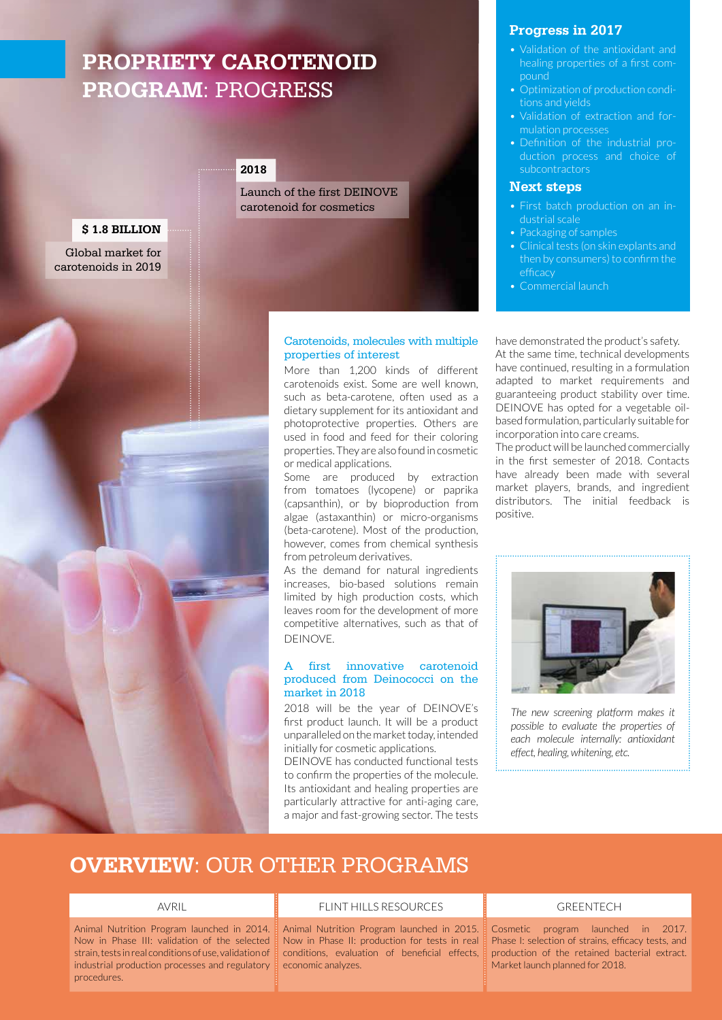# **PROPRIETY CAROTENOID PROGRAM**: PROGRESS

# **2018**

Launch of the first DEINOVE carotenoid for cosmetics

Carotenoids, molecules with multiple

More than 1,200 kinds of different carotenoids exist. Some are well known, such as beta-carotene, often used as a dietary supplement for its antioxidant and photoprotective properties. Others are used in food and feed for their coloring properties. They are also found in cosmetic

Some are produced by extraction from tomatoes (lycopene) or paprika (capsanthin), or by bioproduction from algae (astaxanthin) or micro-organisms (beta-carotene). Most of the production, however, comes from chemical synthesis

As the demand for natural ingredients increases, bio-based solutions remain limited by high production costs, which leaves room for the development of more competitive alternatives, such as that of

first innovative carotenoid produced from Deinococci on the

2018 will be the year of DEINOVE's first product launch. It will be a product unparalleled on the market today, intended

DEINOVE has conducted functional tests to confirm the properties of the molecule. Its antioxidant and healing properties are particularly attractive for anti-aging care, a major and fast-growing sector. The tests

initially for cosmetic applications.

properties of interest

or medical applications.

from petroleum derivatives.

DEINOVE.

market in 2018

# **\$ 1.8 BILLION**

Global market for carotenoids in 2019



# **Progress in 2017**

- Validation of the antioxidant and healing properties of a first compound
- Optimization of production conditions and yields
- Validation of extraction and formulation processes
- Definition of the industrial production process and choice of subcontractors

# **Next steps**

- dustrial scale
- Packaging of samples
- Clinical tests (on skin explants and then by consumers) to confirm the efficacy
- Commercial launch

have demonstrated the product's safety. At the same time, technical developments have continued, resulting in a formulation adapted to market requirements and guaranteeing product stability over time. DEINOVE has opted for a vegetable oilbased formulation, particularly suitable for incorporation into care creams.

The product will be launched commercially in the first semester of 2018. Contacts have already been made with several market players, brands, and ingredient distributors. The initial feedback is positive.



*The new screening platform makes it possible to evaluate the properties of each molecule internally: antioxidant effect, healing, whitening, etc.* 

# **OVERVIEW**: OUR OTHER PROGRAMS

Animal Nutrition Program launched in 2014. Now in Phase III: validation of the selected strain, tests in real conditions of use, validation of industrial production processes and regulatory procedures.

#### AVRIL **ELINT HILLS RESOURCES ELINT HILLS RESOURCES**

Animal Nutrition Program launched in 2015. Now in Phase II: production for tests in real conditions, evaluation of beneficial effects, economic analyzes.

Cosmetic program launched in 2017. Phase I: selection of strains, efficacy tests, and production of the retained bacterial extract. Market launch planned for 2018.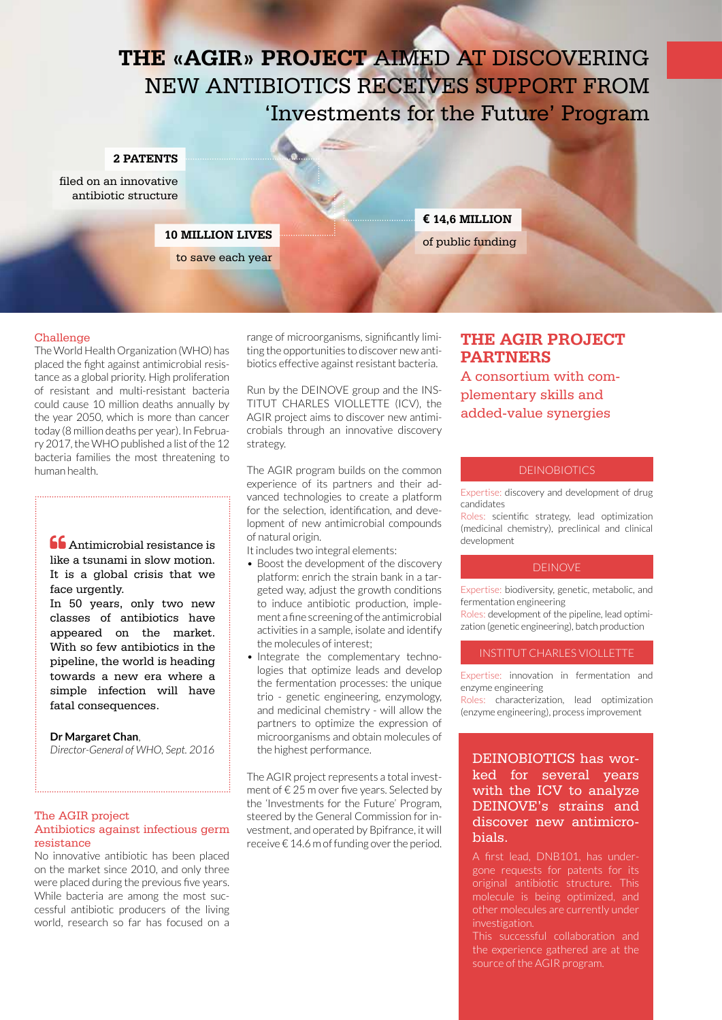# **THE «AGIR» PROJECT** AIMED AT DISCOVERING NEW ANTIBIOTICS RECEIVES SUPPORT FROM 'Investments for the Future' Program

## **2 PATENTS**

filed on an innovative antibiotic structure

# **10 MILLION LIVES**

to save each year

# **€ 14,6 MILLION** of public funding

# Challenge

The World Health Organization (WHO) has placed the fight against antimicrobial resistance as a global priority. High proliferation of resistant and multi-resistant bacteria could cause 10 million deaths annually by the year 2050, which is more than cancer today (8 million deaths per year). In February 2017, the WHO published a list of the 12 bacteria families the most threatening to human health.

**Antimicrobial resistance is** like a tsunami in slow motion. It is a global crisis that we face urgently.

In 50 years, only two new classes of antibiotics have appeared on the market. With so few antibiotics in the pipeline, the world is heading towards a new era where a simple infection will have fatal consequences.

# **Dr Margaret Chan**,

*Director-General of WHO, Sept. 2016* 

# The AGIR project Antibiotics against infectious germ resistance

No innovative antibiotic has been placed on the market since 2010, and only three were placed during the previous five years. While bacteria are among the most successful antibiotic producers of the living world, research so far has focused on a

range of microorganisms, significantly limiting the opportunities to discover new antibiotics effective against resistant bacteria.

Run by the DEINOVE group and the INS-TITUT CHARLES VIOLLETTE (ICV), the AGIR project aims to discover new antimicrobials through an innovative discovery strategy.

The AGIR program builds on the common experience of its partners and their advanced technologies to create a platform for the selection, identification, and development of new antimicrobial compounds of natural origin.

It includes two integral elements:

- Boost the development of the discovery platform: enrich the strain bank in a targeted way, adjust the growth conditions to induce antibiotic production, implement a fine screening of the antimicrobial activities in a sample, isolate and identify the molecules of interest;
- Integrate the complementary technologies that optimize leads and develop the fermentation processes: the unique trio - genetic engineering, enzymology, and medicinal chemistry - will allow the partners to optimize the expression of microorganisms and obtain molecules of the highest performance.

The AGIR project represents a total investment of € 25 m over five years. Selected by the 'Investments for the Future' Program, steered by the General Commission for investment, and operated by Bpifrance, it will receive € 14.6 m of funding over the period.

# **THE AGIR PROJECT PARTNERS**

A consortium with complementary skills and added-value synergies

# **DEINOBIOTICS**

Expertise: discovery and development of drug candidates

Roles: scientific strategy, lead optimization (medicinal chemistry), preclinical and clinical development

# DEINOVE

Expertise: biodiversity, genetic, metabolic, and fermentation engineering

Roles: development of the pipeline, lead optimization (genetic engineering), batch production

### INSTITUT CHARLES VIOLLETTE

Expertise: innovation in fermentation and enzyme engineering

Roles: characterization, lead optimization (enzyme engineering), process improvement

# DEINOBIOTICS has worked for several years with the ICV to analyze DEINOVE's strains and discover new antimicrobials.

A first lead, DNB101, has undergone requests for patents for its original antibiotic structure. This molecule is being optimized, and investigation.

This successful collaboration and the experience gathered are at the source of the AGIR program.